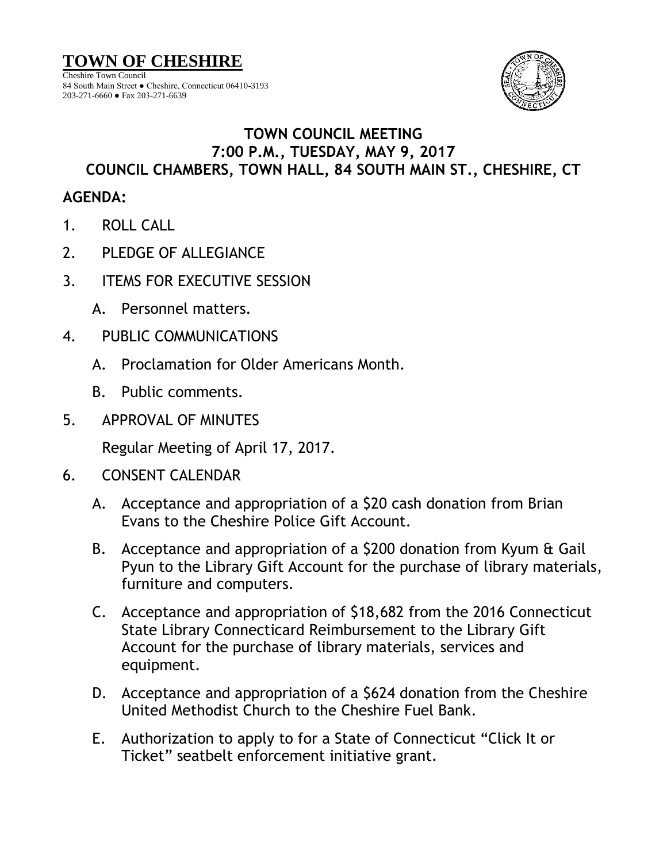

## **TOWN COUNCIL MEETING 7:00 P.M., TUESDAY, MAY 9, 2017 COUNCIL CHAMBERS, TOWN HALL, 84 SOUTH MAIN ST., CHESHIRE, CT**

## **AGENDA:**

- 1. ROLL CALL
- 2. PLEDGE OF ALLEGIANCE
- 3. ITEMS FOR EXECUTIVE SESSION
	- A. Personnel matters.
- 4. PUBLIC COMMUNICATIONS
	- A. Proclamation for Older Americans Month.
	- B. Public comments.
- 5. APPROVAL OF MINUTES

Regular Meeting of April 17, 2017.

- 6. CONSENT CALENDAR
	- A. Acceptance and appropriation of a \$20 cash donation from Brian Evans to the Cheshire Police Gift Account.
	- B. Acceptance and appropriation of a \$200 donation from Kyum & Gail Pyun to the Library Gift Account for the purchase of library materials, furniture and computers.
	- C. Acceptance and appropriation of \$18,682 from the 2016 Connecticut State Library Connecticard Reimbursement to the Library Gift Account for the purchase of library materials, services and equipment.
	- D. Acceptance and appropriation of a \$624 donation from the Cheshire United Methodist Church to the Cheshire Fuel Bank.
	- E. Authorization to apply to for a State of Connecticut "Click It or Ticket" seatbelt enforcement initiative grant.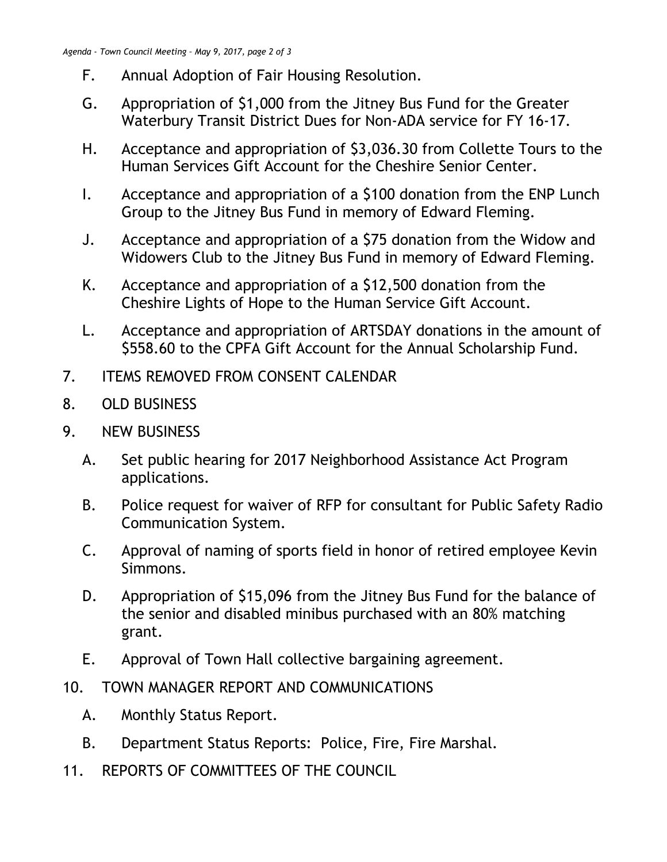- F. Annual Adoption of Fair Housing Resolution.
- G. Appropriation of \$1,000 from the Jitney Bus Fund for the Greater Waterbury Transit District Dues for Non-ADA service for FY 16-17.
- H. Acceptance and appropriation of \$3,036.30 from Collette Tours to the Human Services Gift Account for the Cheshire Senior Center.
- I. Acceptance and appropriation of a \$100 donation from the ENP Lunch Group to the Jitney Bus Fund in memory of Edward Fleming.
- J. Acceptance and appropriation of a \$75 donation from the Widow and Widowers Club to the Jitney Bus Fund in memory of Edward Fleming.
- K. Acceptance and appropriation of a \$12,500 donation from the Cheshire Lights of Hope to the Human Service Gift Account.
- L. Acceptance and appropriation of ARTSDAY donations in the amount of \$558.60 to the CPFA Gift Account for the Annual Scholarship Fund.
- 7. ITEMS REMOVED FROM CONSENT CALENDAR
- 8. OLD BUSINESS
- 9. NEW BUSINESS
	- A. Set public hearing for 2017 Neighborhood Assistance Act Program applications.
	- B. Police request for waiver of RFP for consultant for Public Safety Radio Communication System.
	- C. Approval of naming of sports field in honor of retired employee Kevin Simmons.
	- D. Appropriation of \$15,096 from the Jitney Bus Fund for the balance of the senior and disabled minibus purchased with an 80% matching grant.
	- E. Approval of Town Hall collective bargaining agreement.
- 10. TOWN MANAGER REPORT AND COMMUNICATIONS
	- A. Monthly Status Report.
	- B. Department Status Reports: Police, Fire, Fire Marshal.
- 11. REPORTS OF COMMITTEES OF THE COUNCIL